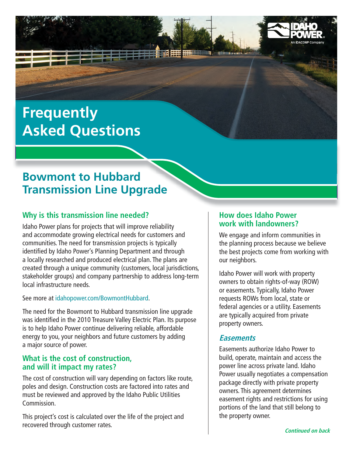# **Frequently Asked Questions**

# **Bowmont to Hubbard Transmission Line Upgrade**

# **Why is this transmission line needed?**

Idaho Power plans for projects that will improve reliability and accommodate growing electrical needs for customers and communities. The need for transmission projects is typically identified by Idaho Power's Planning Department and through a locally researched and produced electrical plan. The plans are created through a unique community (customers, local jurisdictions, stakeholder groups) and company partnership to address long-term local infrastructure needs.

See more at idahopower.com/BowmontHubbard.

The need for the Bowmont to Hubbard transmission line upgrade was identified in the 2010 Treasure Valley Electric Plan. Its purpose is to help Idaho Power continue delivering reliable, affordable energy to you, your neighbors and future customers by adding a major source of power.

#### **What is the cost of construction, and will it impact my rates?**

The cost of construction will vary depending on factors like route, poles and design. Construction costs are factored into rates and must be reviewed and approved by the Idaho Public Utilities Commission.

This project's cost is calculated over the life of the project and recovered through customer rates.

#### **How does Idaho Power work with landowners?**

We engage and inform communities in the planning process because we believe the best projects come from working with our neighbors.

Idaho Power will work with property owners to obtain rights-of-way (ROW) or easements. Typically, Idaho Power requests ROWs from local, state or federal agencies or a utility. Easements are typically acquired from private property owners.

# **Easements**

Easements authorize Idaho Power to build, operate, maintain and access the power line across private land. Idaho Power usually negotiates a compensation package directly with private property owners. This agreement determines easement rights and restrictions for using portions of the land that still belong to the property owner.